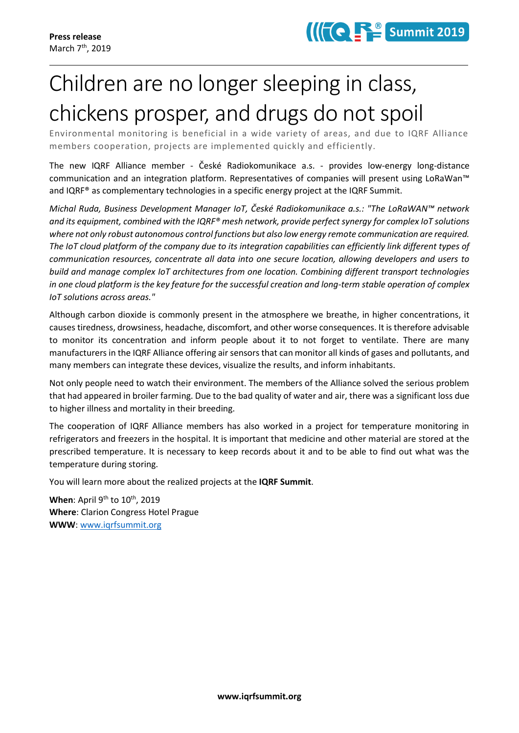## Children are no longer sleeping in class, chickens prosper, and drugs do not spoil

Environmental monitoring is beneficial in a wide variety of areas, and due to IQRF Alliance members cooperation, projects are implemented quickly and efficiently.

The new IQRF Alliance member - České Radiokomunikace a.s. - provides low-energy long-distance communication and an integration platform. Representatives of companies will present using LoRaWan™ and IQRF® as complementary technologies in a specific energy project at the IQRF Summit.

*Michal Ruda, Business Development Manager IoT, České Radiokomunikace a.s.: "The LoRaWAN™ network and its equipment, combined with the IQRF® mesh network, provide perfect synergy for complex IoT solutions where not only robust autonomous control functions but also low energy remote communication are required. The IoT cloud platform of the company due to its integration capabilities can efficiently link different types of communication resources, concentrate all data into one secure location, allowing developers and users to build and manage complex IoT architectures from one location. Combining different transport technologies in one cloud platform is the key feature for the successful creation and long-term stable operation of complex IoT solutions across areas."*

Although carbon dioxide is commonly present in the atmosphere we breathe, in higher concentrations, it causes tiredness, drowsiness, headache, discomfort, and other worse consequences. It is therefore advisable to monitor its concentration and inform people about it to not forget to ventilate. There are many manufacturers in the IQRF Alliance offering air sensors that can monitor all kinds of gases and pollutants, and many members can integrate these devices, visualize the results, and inform inhabitants.

Not only people need to watch their environment. The members of the Alliance solved the serious problem that had appeared in broiler farming. Due to the bad quality of water and air, there was a significant loss due to higher illness and mortality in their breeding.

The cooperation of IQRF Alliance members has also worked in a project for temperature monitoring in refrigerators and freezers in the hospital. It is important that medicine and other material are stored at the prescribed temperature. It is necessary to keep records about it and to be able to find out what was the temperature during storing.

You will learn more about the realized projects at the **IQRF Summit**.

**When**: April 9<sup>th</sup> to 10<sup>th</sup>, 2019 **Where**: Clarion Congress Hotel Prague **WWW**: [www.iqrfsummit.org](https://www.iqrfsummit.org/)